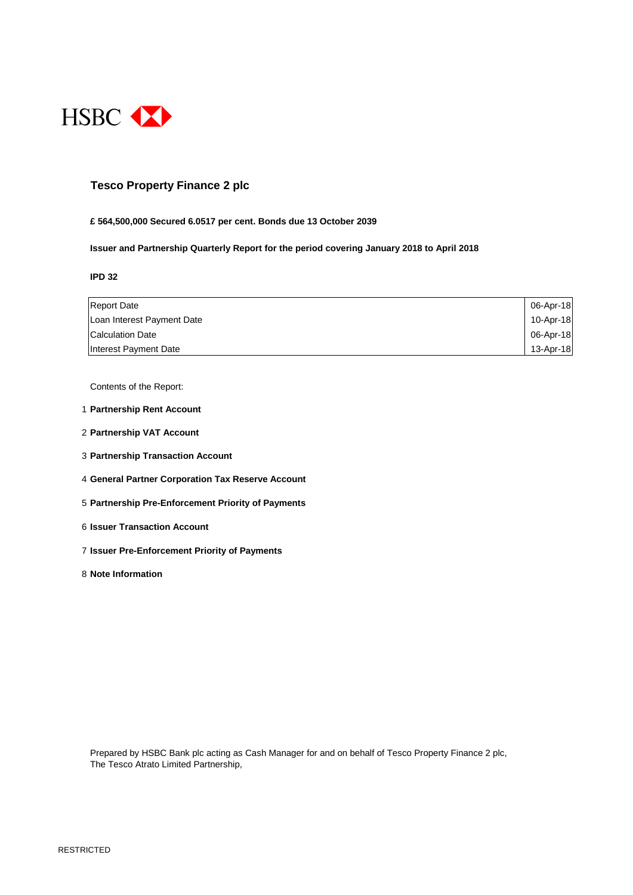

### **Tesco Property Finance 2 plc**

#### **£ 564,500,000 Secured 6.0517 per cent. Bonds due 13 October 2039**

**Issuer and Partnership Quarterly Report for the period covering January 2018 to April 2018**

#### **IPD 32**

| <b>Report Date</b>         | 06-Apr-18 |
|----------------------------|-----------|
| Loan Interest Payment Date | 10-Apr-18 |
| Calculation Date           | 06-Apr-18 |
| Interest Payment Date      | 13-Apr-18 |

Contents of the Report:

- 1 **Partnership Rent Account**
- 2 **Partnership VAT Account**
- 3 **Partnership Transaction Account**
- 4 **General Partner Corporation Tax Reserve Account**
- 5 **Partnership Pre-Enforcement Priority of Payments**
- 6 **Issuer Transaction Account**
- 7 **Issuer Pre-Enforcement Priority of Payments**
- 8 **Note Information**

Prepared by HSBC Bank plc acting as Cash Manager for and on behalf of Tesco Property Finance 2 plc, The Tesco Atrato Limited Partnership,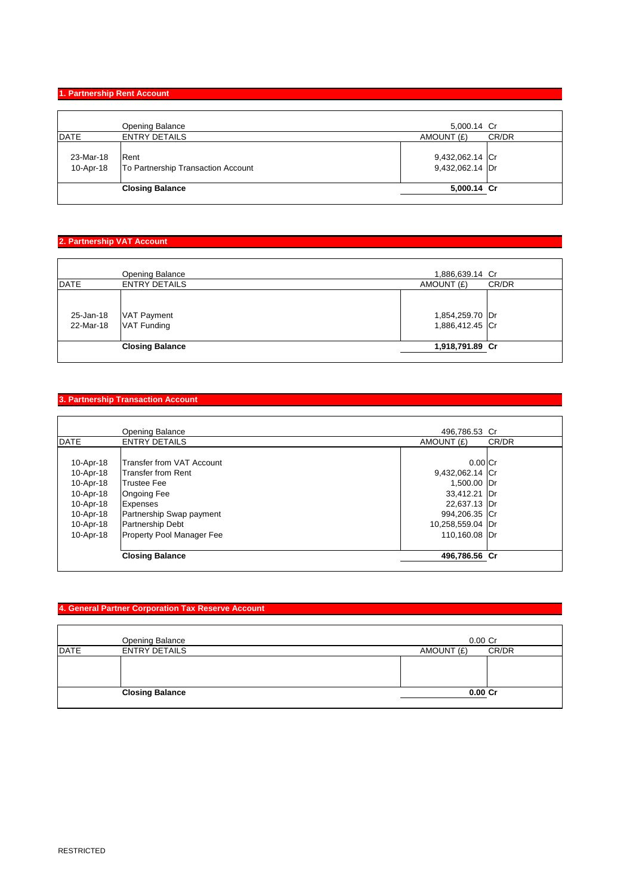### **1. Partnership Rent Account**

| DATE<br><b>ENTRY DETAILS</b>                    | AMOUNT (£)<br>CR/DR |
|-------------------------------------------------|---------------------|
|                                                 |                     |
|                                                 |                     |
| 23-Mar-18<br>Rent                               | 9,432,062.14 Cr     |
| 10-Apr-18<br>To Partnership Transaction Account | 9,432,062.14 Dr     |
| <b>Closing Balance</b>                          | 5,000.14 Cr         |

### **2. Partnership VAT Account**

|                        | <b>Opening Balance</b>            | 1,886,639.14 Cr                    |       |
|------------------------|-----------------------------------|------------------------------------|-------|
| <b>DATE</b>            | <b>ENTRY DETAILS</b>              | AMOUNT (£)                         | CR/DR |
| 25-Jan-18<br>22-Mar-18 | VAT Payment<br><b>VAT Funding</b> | 1,854,259.70 Dr<br>1,886,412.45 Cr |       |
|                        | <b>Closing Balance</b>            | 1,918,791.89 Cr                    |       |
|                        |                                   |                                    |       |

### **3. Partnership Transaction Account**

|             | <b>Opening Balance</b>            | 496,786.53 Cr    |       |
|-------------|-----------------------------------|------------------|-------|
| <b>DATE</b> | <b>ENTRY DETAILS</b>              | AMOUNT (£)       | CR/DR |
|             |                                   |                  |       |
| 10-Apr-18   | <b>ITransfer from VAT Account</b> | $0.00$ Cr        |       |
| 10-Apr-18   | lTransfer from Rent               | 9,432,062.14 Cr  |       |
| 10-Apr-18   | <b>Trustee Fee</b>                | 1,500.00 Dr      |       |
| 10-Apr-18   | <b>Ongoing Fee</b>                | 33,412.21 Dr     |       |
| 10-Apr-18   | Expenses                          | 22,637.13 Dr     |       |
| 10-Apr-18   | Partnership Swap payment          | 994,206.35 Cr    |       |
| 10-Apr-18   | <b>Partnership Debt</b>           | 10,258,559.04 Dr |       |
| 10-Apr-18   | <b>Property Pool Manager Fee</b>  | 110.160.08 Dr    |       |
|             | <b>Closing Balance</b>            | 496,786.56 Cr    |       |

# **4. General Partner Corporation Tax Reserve Account**

|      | <b>Opening Balance</b> | $0.00$ Cr           |
|------|------------------------|---------------------|
| DATE | <b>ENTRY DETAILS</b>   | AMOUNT (£)<br>CR/DR |
|      |                        |                     |
|      | <b>Closing Balance</b> | $0.00C$ r           |
|      |                        |                     |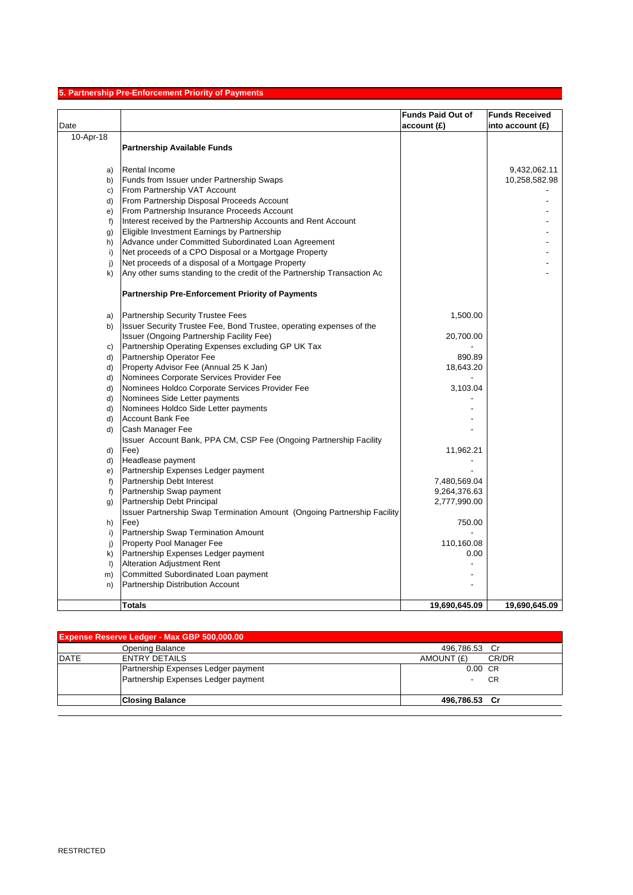# **5. Partnership Pre-Enforcement Priority of Payments**

|              |                                                                          | <b>Funds Paid Out of</b> | <b>Funds Received</b> |
|--------------|--------------------------------------------------------------------------|--------------------------|-----------------------|
| Date         |                                                                          | account(E)               | into account $(E)$    |
| 10-Apr-18    |                                                                          |                          |                       |
|              | <b>Partnership Available Funds</b>                                       |                          |                       |
|              |                                                                          |                          |                       |
| a)           | <b>Rental Income</b>                                                     |                          | 9,432,062.11          |
| b)           | Funds from Issuer under Partnership Swaps                                |                          | 10,258,582.98         |
| C)           | From Partnership VAT Account                                             |                          |                       |
| d)           | From Partnership Disposal Proceeds Account                               |                          |                       |
| e)           | From Partnership Insurance Proceeds Account                              |                          |                       |
| f            | Interest received by the Partnership Accounts and Rent Account           |                          |                       |
| g)           | Eligible Investment Earnings by Partnership                              |                          |                       |
| h)           | Advance under Committed Subordinated Loan Agreement                      |                          |                       |
| i)           | Net proceeds of a CPO Disposal or a Mortgage Property                    |                          |                       |
| j)           | Net proceeds of a disposal of a Mortgage Property                        |                          |                       |
| k)           | Any other sums standing to the credit of the Partnership Transaction Ac  |                          |                       |
|              | <b>Partnership Pre-Enforcement Priority of Payments</b>                  |                          |                       |
| a)           | Partnership Security Trustee Fees                                        | 1,500.00                 |                       |
| b)           | Issuer Security Trustee Fee, Bond Trustee, operating expenses of the     |                          |                       |
|              | Issuer (Ongoing Partnership Facility Fee)                                | 20,700.00                |                       |
| C)           | Partnership Operating Expenses excluding GP UK Tax                       |                          |                       |
| d)           | Partnership Operator Fee                                                 | 890.89                   |                       |
| d)           | Property Advisor Fee (Annual 25 K Jan)                                   | 18,643.20                |                       |
| d)           | Nominees Corporate Services Provider Fee                                 |                          |                       |
| d)           | Nominees Holdco Corporate Services Provider Fee                          | 3,103.04                 |                       |
| d)           | Nominees Side Letter payments                                            |                          |                       |
| d)           | Nominees Holdco Side Letter payments                                     |                          |                       |
| d)           | <b>Account Bank Fee</b>                                                  |                          |                       |
| d)           | Cash Manager Fee                                                         |                          |                       |
|              | Issuer Account Bank, PPA CM, CSP Fee (Ongoing Partnership Facility       |                          |                       |
| d)           | Fee)                                                                     | 11,962.21                |                       |
| d)           | Headlease payment                                                        |                          |                       |
| e)           | Partnership Expenses Ledger payment                                      |                          |                       |
| f            | Partnership Debt Interest                                                | 7,480,569.04             |                       |
| f)           | Partnership Swap payment                                                 | 9,264,376.63             |                       |
| $\mathbf{g}$ | Partnership Debt Principal                                               | 2,777,990.00             |                       |
|              | Issuer Partnership Swap Termination Amount (Ongoing Partnership Facility |                          |                       |
| h)           | Fee)                                                                     | 750.00                   |                       |
| i)           | Partnership Swap Termination Amount                                      |                          |                       |
| j)           | Property Pool Manager Fee                                                | 110,160.08               |                       |
| k)           | Partnership Expenses Ledger payment                                      | 0.00                     |                       |
| $\vert$      | <b>Alteration Adjustment Rent</b>                                        |                          |                       |
| m)           | Committed Subordinated Loan payment                                      |                          |                       |
| n)           | Partnership Distribution Account                                         |                          |                       |
|              | <b>Totals</b>                                                            | 19,690,645.09            | 19,690,645.09         |

| <b>Expense Reserve Ledger - Max GBP 500,000.00</b> |                                     |                     |  |
|----------------------------------------------------|-------------------------------------|---------------------|--|
|                                                    | Opening Balance                     | 496,786.53 Cr       |  |
| <b>DATE</b>                                        | <b>ENTRY DETAILS</b>                | AMOUNT (£)<br>CR/DR |  |
|                                                    | Partnership Expenses Ledger payment | $0.00$ CR           |  |
|                                                    | Partnership Expenses Ledger payment | - CR                |  |
|                                                    | <b>Closing Balance</b>              | 496,786.53 Cr       |  |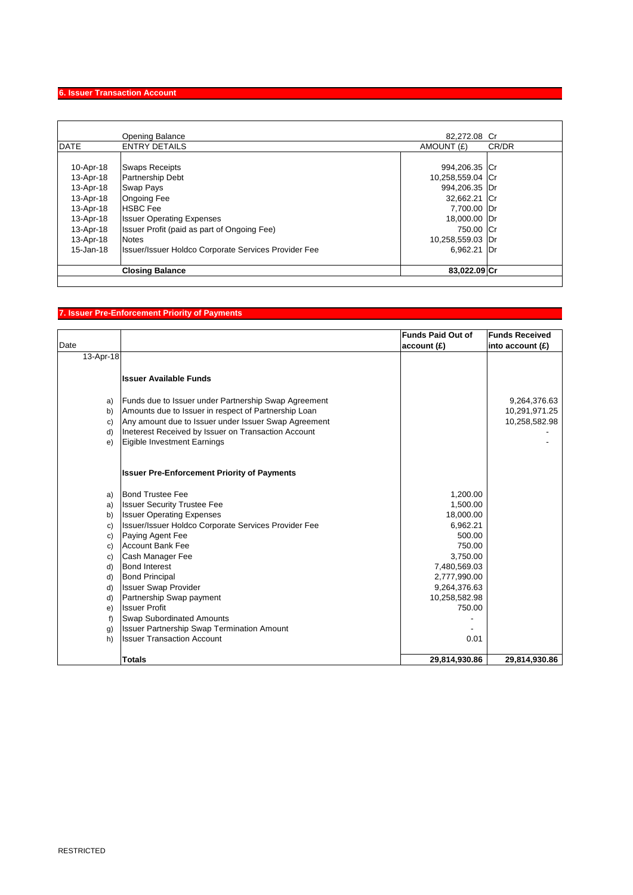# **6. Issuer Transaction Account**

|             | Opening Balance                                      | 82.272.08 Cr     |       |
|-------------|------------------------------------------------------|------------------|-------|
| <b>DATE</b> | <b>ENTRY DETAILS</b>                                 | AMOUNT (£)       | CR/DR |
|             |                                                      |                  |       |
| 10-Apr-18   | <b>Swaps Receipts</b>                                | 994,206.35 Cr    |       |
| 13-Apr-18   | <b>Partnership Debt</b>                              | 10,258,559.04 Cr |       |
| 13-Apr-18   | <b>Swap Pays</b>                                     | 994,206.35 Dr    |       |
| 13-Apr-18   | <b>Ongoing Fee</b>                                   | 32,662.21 Cr     |       |
| 13-Apr-18   | <b>HSBC</b> Fee                                      | 7,700.00 Dr      |       |
| 13-Apr-18   | <b>Issuer Operating Expenses</b>                     | 18,000.00 Dr     |       |
| 13-Apr-18   | Issuer Profit (paid as part of Ongoing Fee)          | 750.00 Cr        |       |
| 13-Apr-18   | <b>Notes</b>                                         | 10,258,559.03 Dr |       |
| 15-Jan-18   | Issuer/Issuer Holdco Corporate Services Provider Fee | 6,962.21 Dr      |       |
|             | <b>Closing Balance</b>                               | 83,022.09 Cr     |       |

# **7. Issuer Pre-Enforcement Priority of Payments**

|           |                                                      | <b>Funds Paid Out of</b> | <b>Funds Received</b> |
|-----------|------------------------------------------------------|--------------------------|-----------------------|
| Date      |                                                      | account (£)              | into account $(f)$    |
| 13-Apr-18 |                                                      |                          |                       |
|           | <b>Issuer Available Funds</b>                        |                          |                       |
| a)        | Funds due to Issuer under Partnership Swap Agreement |                          | 9,264,376.63          |
| b)        | Amounts due to Issuer in respect of Partnership Loan |                          | 10,291,971.25         |
| C)        | Any amount due to Issuer under Issuer Swap Agreement |                          | 10,258,582.98         |
| d)        | Ineterest Received by Issuer on Transaction Account  |                          |                       |
| e)        | Eigible Investment Earnings                          |                          |                       |
|           | <b>Issuer Pre-Enforcement Priority of Payments</b>   |                          |                       |
|           |                                                      |                          |                       |
| a)        | <b>Bond Trustee Fee</b>                              | 1,200.00                 |                       |
| a)        | <b>Issuer Security Trustee Fee</b>                   | 1,500.00                 |                       |
| b)        | <b>Issuer Operating Expenses</b>                     | 18,000.00                |                       |
| c)        | Issuer/Issuer Holdco Corporate Services Provider Fee | 6,962.21                 |                       |
| c)        | Paying Agent Fee                                     | 500.00                   |                       |
| c)        | <b>Account Bank Fee</b>                              | 750.00                   |                       |
| c)        | Cash Manager Fee                                     | 3,750.00                 |                       |
| d)        | <b>Bond Interest</b>                                 | 7,480,569.03             |                       |
| d)        | <b>Bond Principal</b>                                | 2,777,990.00             |                       |
| d)        | <b>Issuer Swap Provider</b>                          | 9,264,376.63             |                       |
| d)        | Partnership Swap payment                             | 10,258,582.98            |                       |
| e)        | <b>Issuer Profit</b>                                 | 750.00                   |                       |
| f)        | <b>Swap Subordinated Amounts</b>                     |                          |                       |
| g)        | <b>Issuer Partnership Swap Termination Amount</b>    |                          |                       |
| h)        | <b>Issuer Transaction Account</b>                    | 0.01                     |                       |
|           | <b>Totals</b>                                        | 29,814,930.86            | 29,814,930.86         |